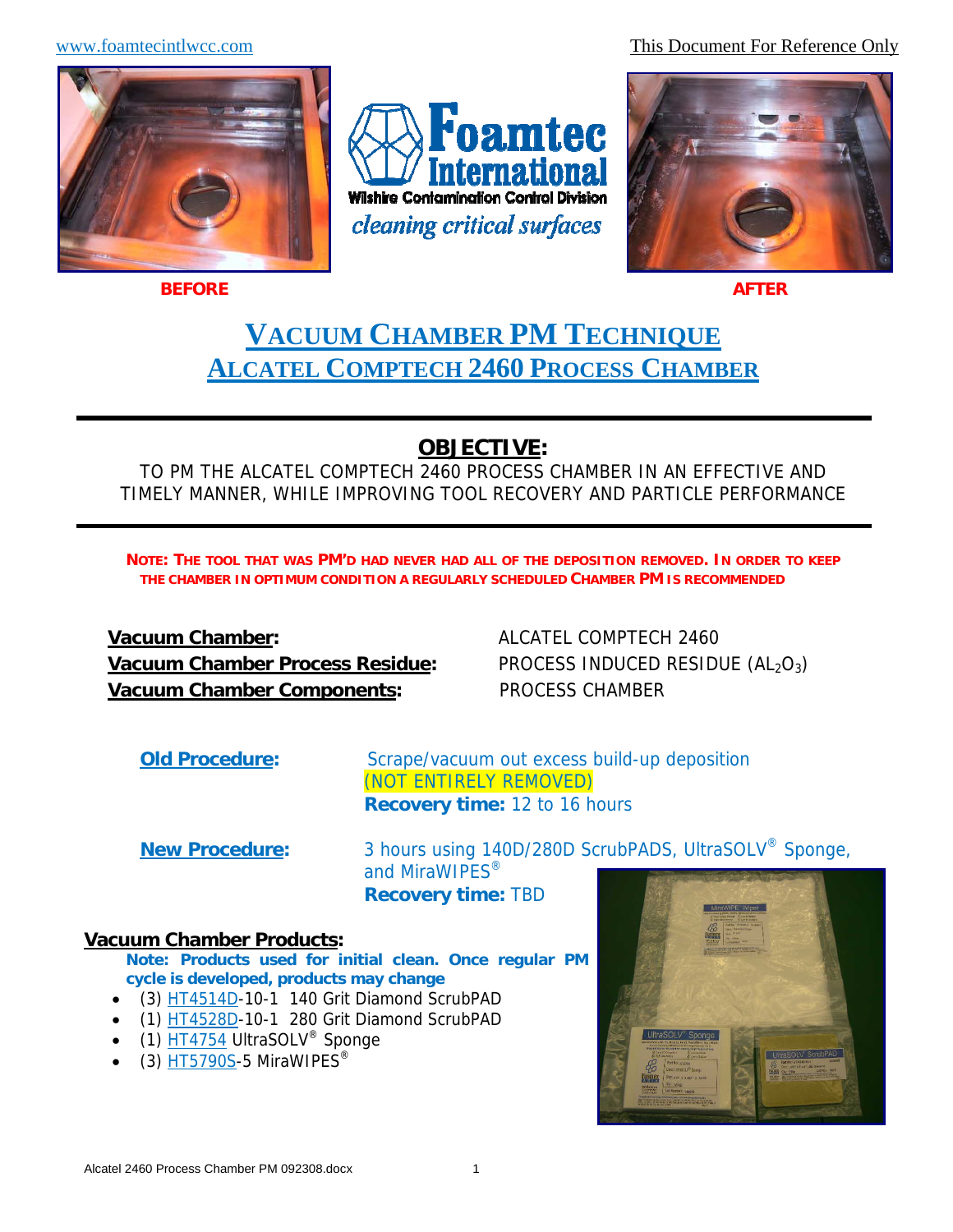www.foamtecintlwcc.com This Document For Reference Only



**BEFORE**

l





**AFTER**

# **VACUUM CHAMBER PM TECHNIQUE ALCATEL COMPTECH 2460 PROCESS CHAMBER**

# **OBJECTIVE:**

TO PM THE ALCATEL COMPTECH 2460 PROCESS CHAMBER IN AN EFFECTIVE AND TIMELY MANNER, WHILE IMPROVING TOOL RECOVERY AND PARTICLE PERFORMANCE

**NOTE: THE TOOL THAT WAS PM'D HAD NEVER HAD ALL OF THE DEPOSITION REMOVED. IN ORDER TO KEEP THE CHAMBER IN OPTIMUM CONDITION A REGULARLY SCHEDULED CHAMBER PM IS RECOMMENDED**

**Vacuum Chamber:**  $ALCATEL COMPTECH 2460$ **Vacuum Chamber Process Residue:** PROCESS INDUCED RESIDUE (AL<sub>2</sub>O<sub>3</sub>) **Vacuum Chamber Components:** PROCESS CHAMBER

**Old Procedure:** Scrape/vacuum out excess build-up deposition (NOT ENTIRELY REMOVED) **Recovery time:** 12 to 16 hours

**New Procedure:** 3 hours using 140D/280D ScrubPADS, UltraSOLV® Sponge, and MiraWIPES<sup>®</sup>

**Recovery time:** TBD

### **Vacuum Chamber Products:**

**Note: Products used for initial clean. Once regular PM cycle is developed, products may change**

- (3) HT4514D-10-1 140 Grit Diamond ScrubPAD
- (1) HT4528D-10-1 280 Grit Diamond ScrubPAD
- $(1)$  HT4754 UltraSOLV<sup>®</sup> Sponge
- $\bullet$  (3) HT5790S-5 MiraWIPES<sup>®</sup>

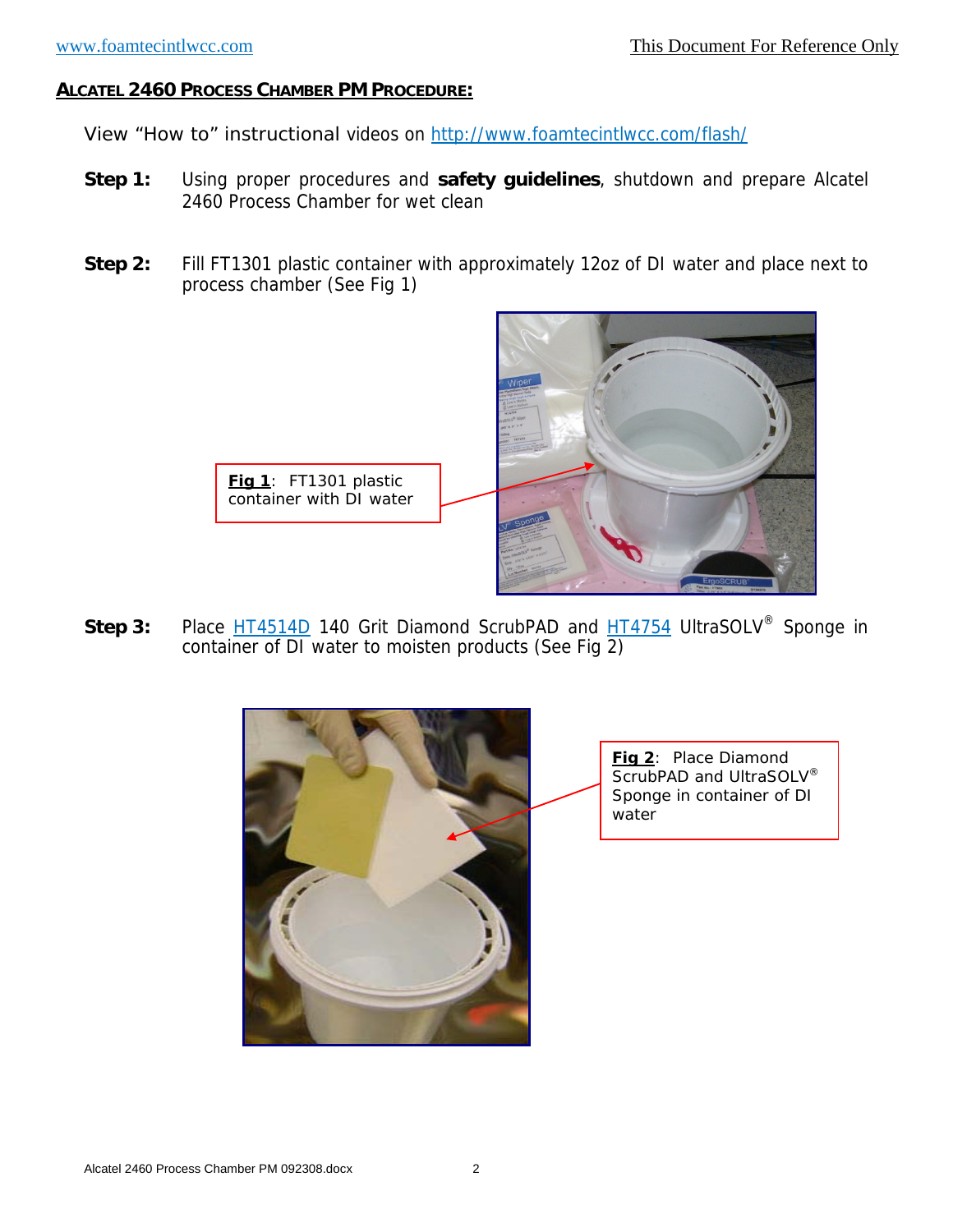View "How to" instructional videos on http://www.foamtecintlwcc.com/flash/

- **Step 1:** Using proper procedures and **safety guidelines**, shutdown and prepare Alcatel 2460 Process Chamber for wet clean
- **Step 2:** Fill FT1301 plastic container with approximately 12oz of DI water and place next to process chamber (See Fig 1)



Step 3: Place HT4514D 140 Grit Diamond ScrubPAD and HT4754 UltraSOLV<sup>®</sup> Sponge in container of DI water to moisten products (See Fig 2)



**Fig 2**: Place Diamond ScrubPAD and UltraSOLV<sup>®</sup> Sponge in container of DI water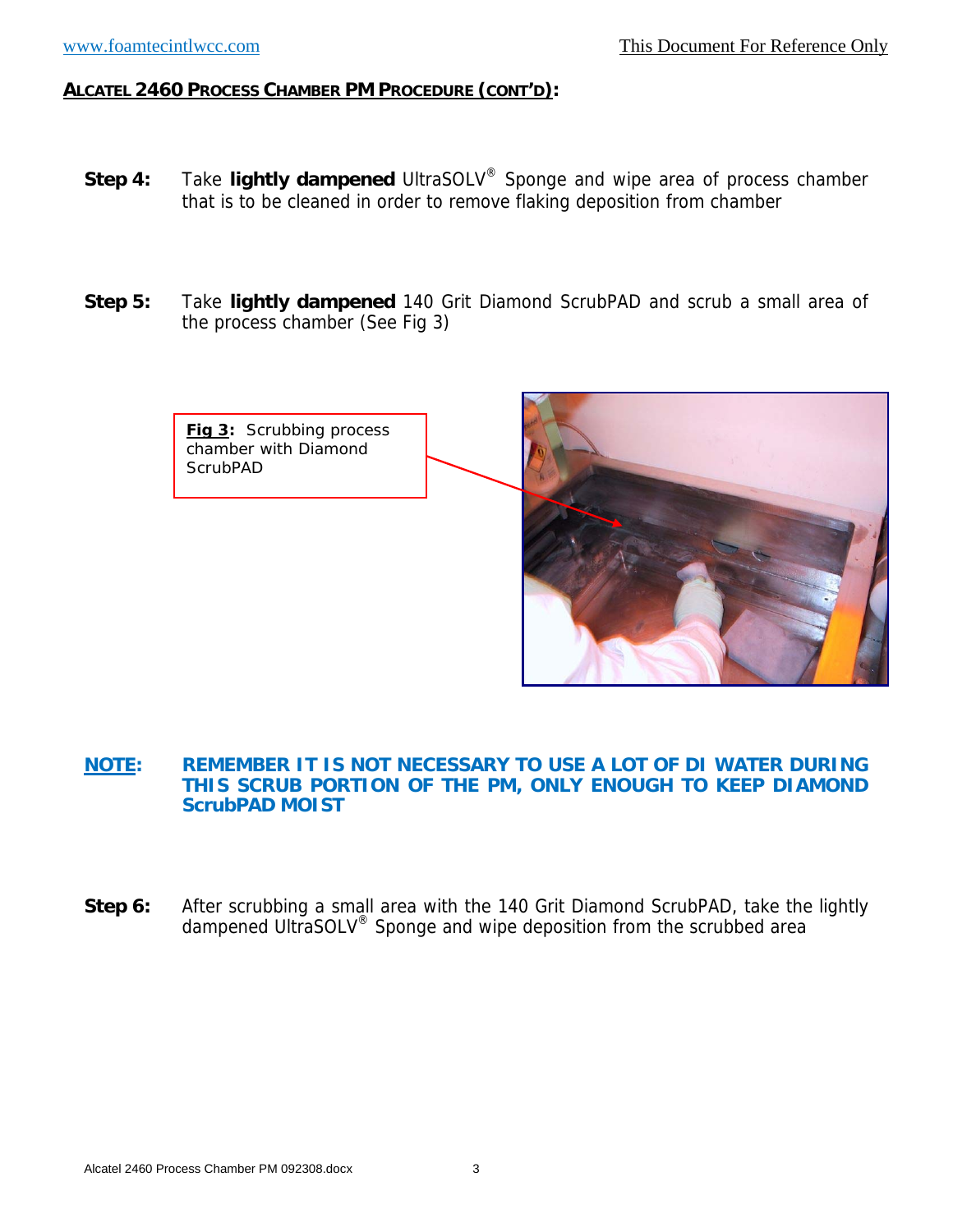- **Step 4:** Take **lightly dampened** UltraSOLV® Sponge and wipe area of process chamber that is to be cleaned in order to remove flaking deposition from chamber
- **Step 5:** Take **lightly dampened** 140 Grit Diamond ScrubPAD and scrub a small area of the process chamber (See Fig 3)



#### **NOTE: REMEMBER IT IS NOT NECESSARY TO USE A LOT OF DI WATER DURING THIS SCRUB PORTION OF THE PM, ONLY ENOUGH TO KEEP DIAMOND ScrubPAD MOIST**

**Step 6:** After scrubbing a small area with the 140 Grit Diamond ScrubPAD, take the lightly dampened UltraSOLV® Sponge and wipe deposition from the scrubbed area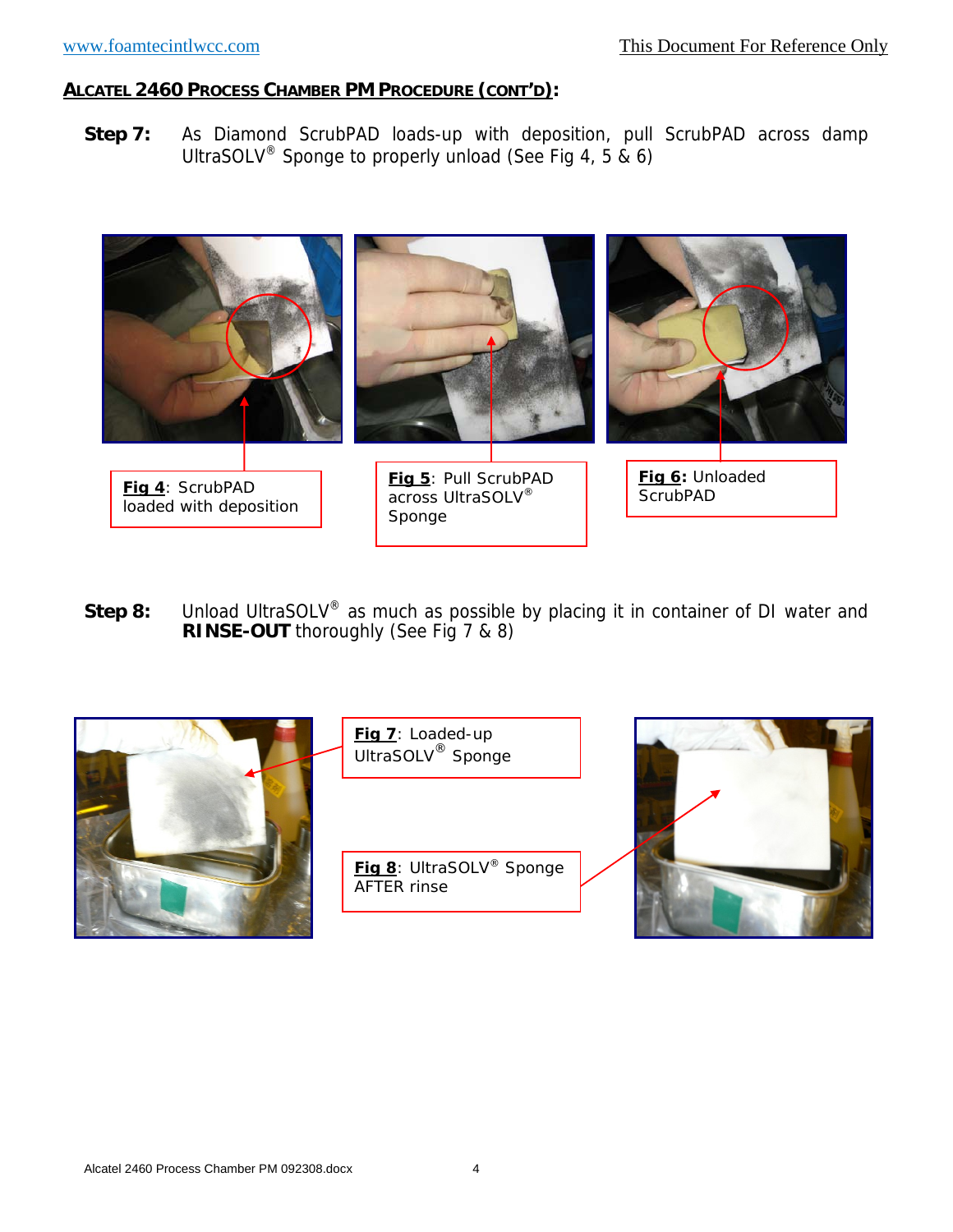**Step 7:** As Diamond ScrubPAD loads-up with deposition, pull ScrubPAD across damp UltraSOLV® Sponge to properly unload (See Fig 4, 5 & 6)



**Step 8:** Unload UltraSOLV<sup>®</sup> as much as possible by placing it in container of DI water and **RINSE-OUT** thoroughly (See Fig 7 & 8)

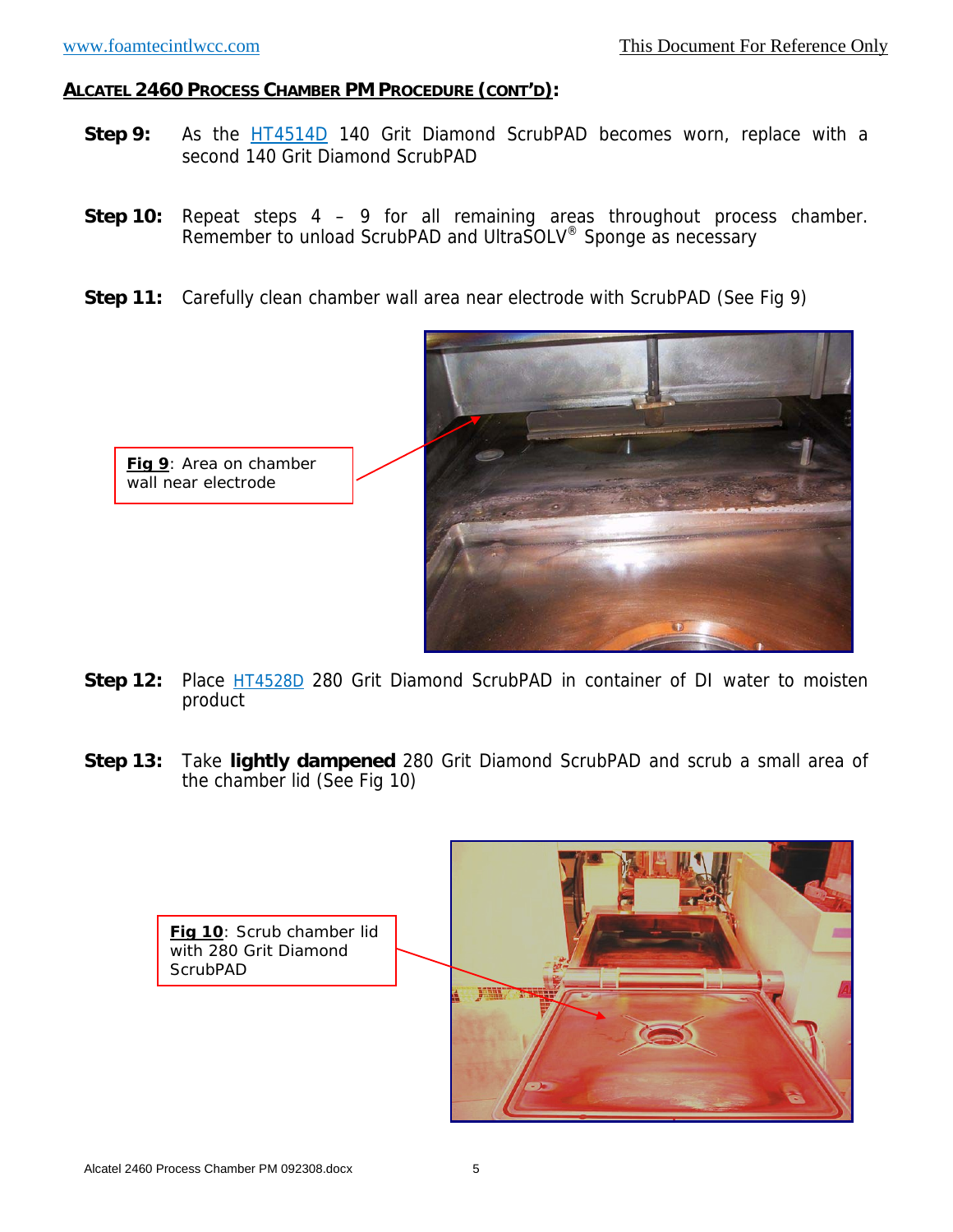- **Step 9:** As the **HT4514D** 140 Grit Diamond ScrubPAD becomes worn, replace with a second 140 Grit Diamond ScrubPAD
- **Step 10:** Repeat steps 4 9 for all remaining areas throughout process chamber. Remember to unload ScrubPAD and UltraSOLV® Sponge as necessary
- **Step 11:** Carefully clean chamber wall area near electrode with ScrubPAD (See Fig 9)



- **Step 12:** Place **HT4528D** 280 Grit Diamond ScrubPAD in container of DI water to moisten product
- **Step 13:** Take **lightly dampened** 280 Grit Diamond ScrubPAD and scrub a small area of the chamber lid (See Fig 10)

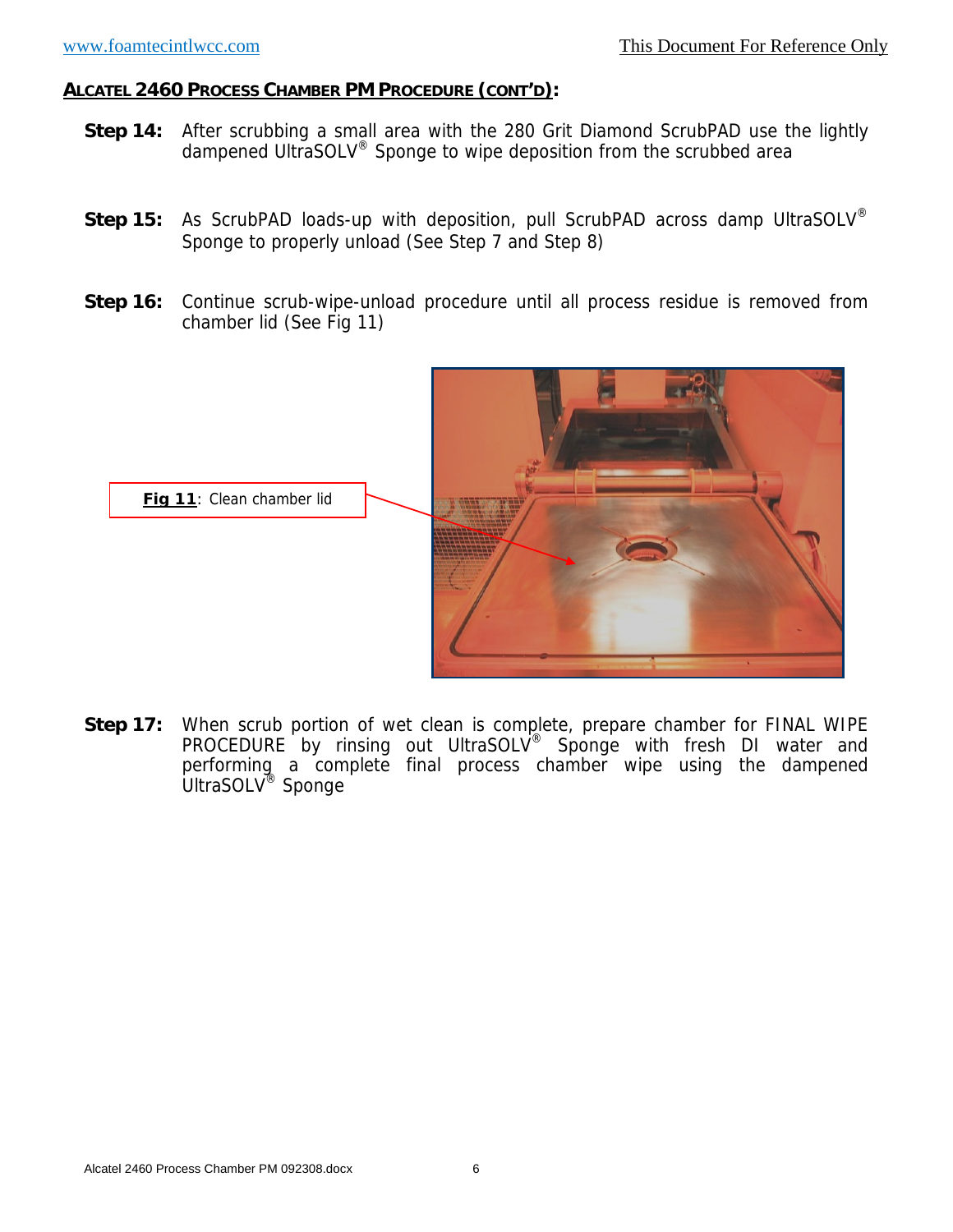- **Step 14:** After scrubbing a small area with the 280 Grit Diamond ScrubPAD use the lightly dampened UltraSOLV® Sponge to wipe deposition from the scrubbed area
- **Step 15:** As ScrubPAD loads-up with deposition, pull ScrubPAD across damp UltraSOLV<sup>®</sup> Sponge to properly unload (See Step 7 and Step 8)
- **Step 16:** Continue scrub-wipe-unload procedure until all process residue is removed from chamber lid (See Fig 11)



**Step 17:** When scrub portion of wet clean is complete, prepare chamber for FINAL WIPE PROCEDURE by rinsing out UltraSOLV<sup>®</sup> Sponge with fresh DI water and performing a complete final process chamber wipe using the dampened UltraSOLV® Sponge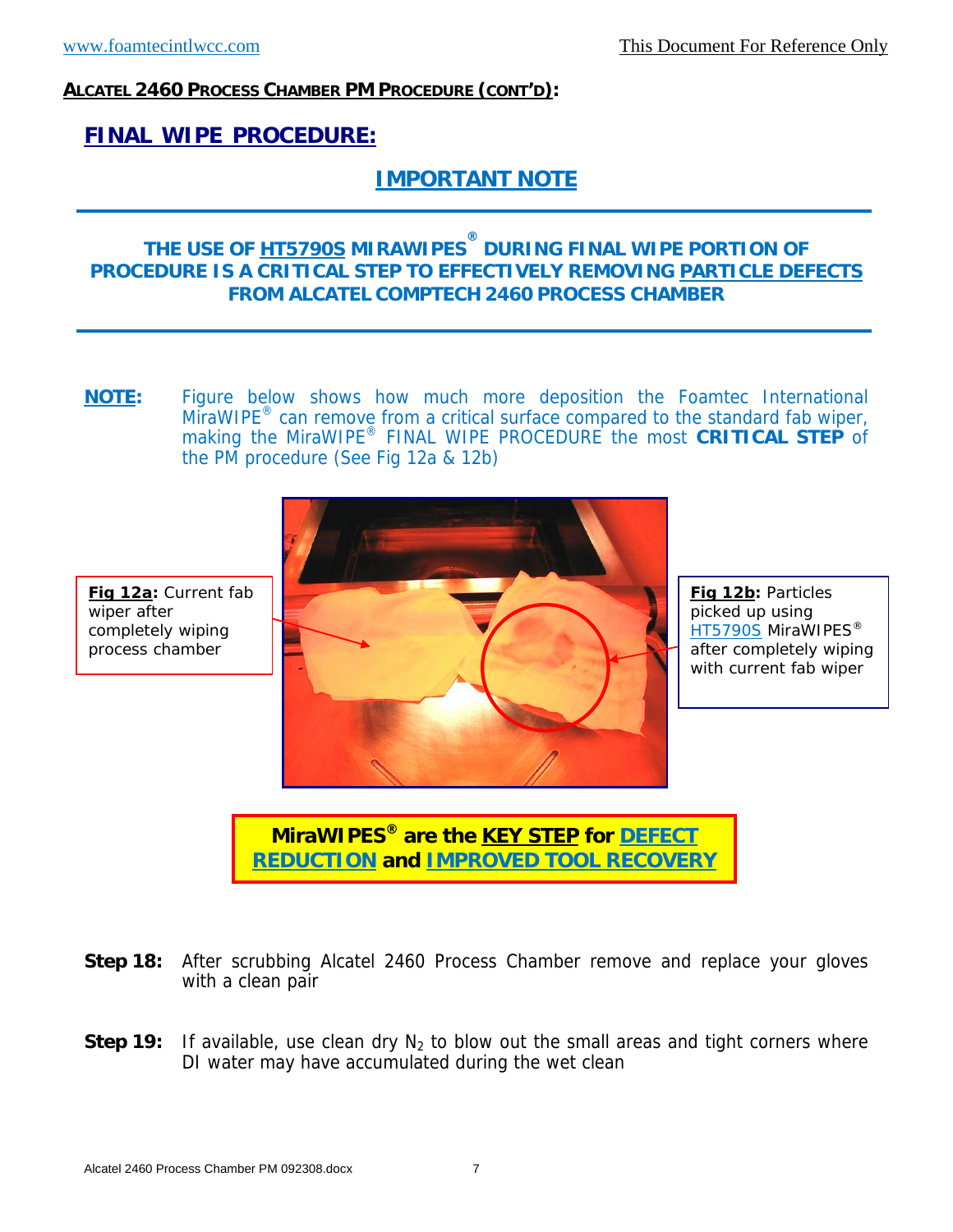wiper after

completely wiping process chamber

#### **ALCATEL 2460 PROCESS CHAMBER PM PROCEDURE (CONT'D):**

# **FINAL WIPE PROCEDURE:**

# **IMPORTANT NOTE**

# **THE USE OF HT5790S MIRAWIPES® DURING FINAL WIPE PORTION OF PROCEDURE IS A CRITICAL STEP TO EFFECTIVELY REMOVING PARTICLE DEFECTS FROM ALCATEL COMPTECH 2460 PROCESS CHAMBER**

**NOTE:** Figure below shows how much more deposition the Foamtec International MiraWIPE<sup>®</sup> can remove from a critical surface compared to the standard fab wiper, making the MiraWIPE® FINAL WIPE PROCEDURE the most **CRITICAL STEP** of the PM procedure (See Fig 12a & 12b)



**Fig 12b:** Particles picked up using **HT5790S MiraWIPES®** after completely wiping with current fab wiper

**MiraWIPES® are the KEY STEP for DEFECT REDUCTION and IMPROVED TOOL RECOVERY** 

- **Step 18:** After scrubbing Alcatel 2460 Process Chamber remove and replace your gloves with a clean pair
- **Step 19:** If available, use clean dry  $N_2$  to blow out the small areas and tight corners where DI water may have accumulated during the wet clean